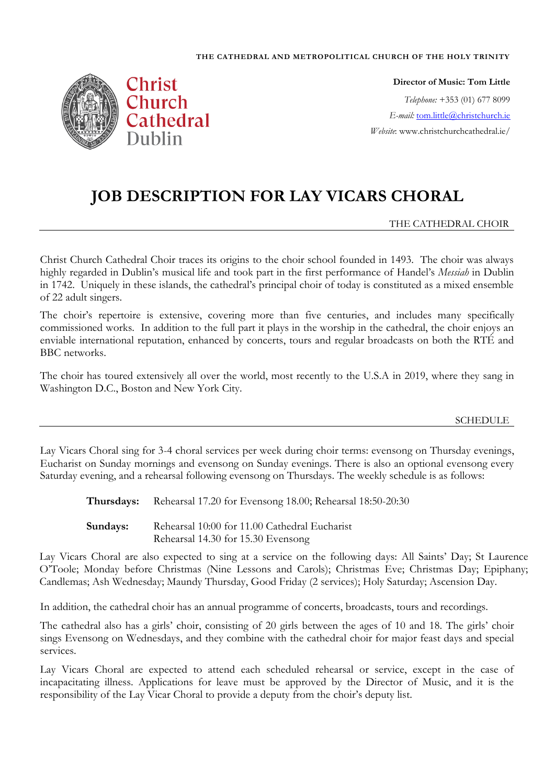#### **THE CATHEDRAL AND METROPOLITICAL CHURCH OF THE HOLY TRINITY**



**Director of Music: Tom Little** *Telephone:* +353 (01) 677 8099 *E-mail:* [tom.little@christchurch.ie](mailto:tom.little@christchurch.ie) *Website*: www.christchurchcathedral.ie/

# **JOB DESCRIPTION FOR LAY VICARS CHORAL**

THE CATHEDRAL CHOIR

Christ Church Cathedral Choir traces its origins to the choir school founded in 1493. The choir was always highly regarded in Dublin's musical life and took part in the first performance of Handel's *Messiah* in Dublin in 1742. Uniquely in these islands, the cathedral's principal choir of today is constituted as a mixed ensemble of 22 adult singers.

The choir's repertoire is extensive, covering more than five centuries, and includes many specifically commissioned works. In addition to the full part it plays in the worship in the cathedral, the choir enjoys an enviable international reputation, enhanced by concerts, tours and regular broadcasts on both the RTÉ and BBC networks.

The choir has toured extensively all over the world, most recently to the U.S.A in 2019, where they sang in Washington D.C., Boston and New York City.

### SCHEDULE

Lay Vicars Choral sing for 3-4 choral services per week during choir terms: evensong on Thursday evenings, Eucharist on Sunday mornings and evensong on Sunday evenings. There is also an optional evensong every Saturday evening, and a rehearsal following evensong on Thursdays. The weekly schedule is as follows:

**Thursdays:** Rehearsal 17.20 for Evensong 18.00; Rehearsal 18:50-20:30

Sundays: Rehearsal 10:00 for 11.00 Cathedral Eucharist Rehearsal 14.30 for 15.30 Evensong

Lay Vicars Choral are also expected to sing at a service on the following days: All Saints' Day; St Laurence O'Toole; Monday before Christmas (Nine Lessons and Carols); Christmas Eve; Christmas Day; Epiphany; Candlemas; Ash Wednesday; Maundy Thursday, Good Friday (2 services); Holy Saturday; Ascension Day.

In addition, the cathedral choir has an annual programme of concerts, broadcasts, tours and recordings.

The cathedral also has a girls' choir, consisting of 20 girls between the ages of 10 and 18. The girls' choir sings Evensong on Wednesdays, and they combine with the cathedral choir for major feast days and special services.

Lay Vicars Choral are expected to attend each scheduled rehearsal or service, except in the case of incapacitating illness. Applications for leave must be approved by the Director of Music, and it is the responsibility of the Lay Vicar Choral to provide a deputy from the choir's deputy list.